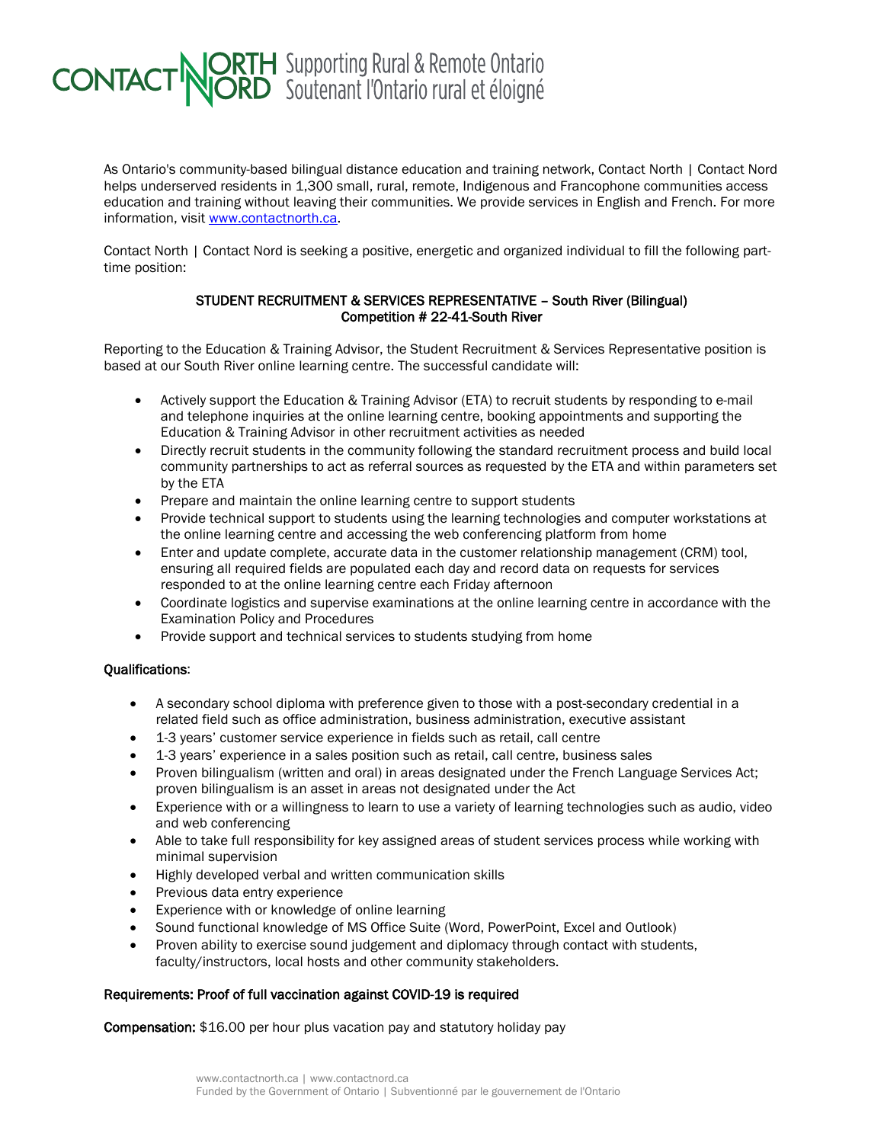## **CONTACT NORTH** Supporting Rural & Remote Ontario

As Ontario's community-based bilingual distance education and training network, Contact North | Contact Nord helps underserved residents in 1,300 small, rural, remote, Indigenous and Francophone communities access education and training without leaving their communities. We provide services in English and French. For more information, visit [www.contactnorth.ca.](http://www.contactnorth.ca/)

Contact North | Contact Nord is seeking a positive, energetic and organized individual to fill the following parttime position:

## STUDENT RECRUITMENT & SERVICES REPRESENTATIVE – South River (Bilingual) Competition # 22-41-South River

Reporting to the Education & Training Advisor, the Student Recruitment & Services Representative position is based at our South River online learning centre. The successful candidate will:

- Actively support the Education & Training Advisor (ETA) to recruit students by responding to e-mail and telephone inquiries at the online learning centre, booking appointments and supporting the Education & Training Advisor in other recruitment activities as needed
- Directly recruit students in the community following the standard recruitment process and build local community partnerships to act as referral sources as requested by the ETA and within parameters set by the ETA
- Prepare and maintain the online learning centre to support students
- Provide technical support to students using the learning technologies and computer workstations at the online learning centre and accessing the web conferencing platform from home
- Enter and update complete, accurate data in the customer relationship management (CRM) tool. ensuring all required fields are populated each day and record data on requests for services responded to at the online learning centre each Friday afternoon
- Coordinate logistics and supervise examinations at the online learning centre in accordance with the Examination Policy and Procedures
- Provide support and technical services to students studying from home

## Qualifications:

- A secondary school diploma with preference given to those with a post-secondary credential in a related field such as office administration, business administration, executive assistant
- 1-3 years' customer service experience in fields such as retail, call centre
- 1-3 years' experience in a sales position such as retail, call centre, business sales
- Proven bilingualism (written and oral) in areas designated under the French Language Services Act; proven bilingualism is an asset in areas not designated under the Act
- Experience with or a willingness to learn to use a variety of learning technologies such as audio, video and web conferencing
- Able to take full responsibility for key assigned areas of student services process while working with minimal supervision
- Highly developed verbal and written communication skills
- Previous data entry experience
- Experience with or knowledge of online learning
- Sound functional knowledge of MS Office Suite (Word, PowerPoint, Excel and Outlook)
- Proven ability to exercise sound judgement and diplomacy through contact with students, faculty/instructors, local hosts and other community stakeholders.

## Requirements: Proof of full vaccination against COVID-19 is required

Compensation: \$16.00 per hour plus vacation pay and statutory holiday pay